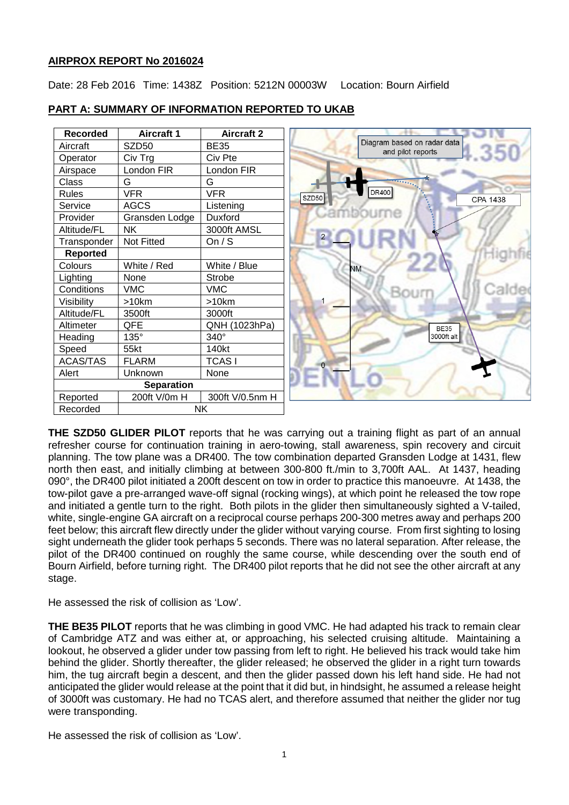### **AIRPROX REPORT No 2016024**

Date: 28 Feb 2016 Time: 1438Z Position: 5212N 00003W Location: Bourn Airfield

| <b>Recorded</b> | <b>Aircraft 1</b> | <b>Aircraft 2</b> |              |                                                  |
|-----------------|-------------------|-------------------|--------------|--------------------------------------------------|
| Aircraft        | SZD50             | <b>BE35</b>       |              | Diagram based on radar data<br>and pilot reports |
| Operator        | Civ Trg           | Civ Pte           |              |                                                  |
| Airspace        | London FIR        | London FIR        |              |                                                  |
| <b>Class</b>    | G                 | G                 |              |                                                  |
| <b>Rules</b>    | <b>VFR</b>        | <b>VFR</b>        | SZD50        | DR400                                            |
| Service         | <b>AGCS</b>       | Listening         |              |                                                  |
| Provider        | Gransden Lodge    | Duxford           |              |                                                  |
| Altitude/FL     | NΚ                | 3000ft AMSL       |              |                                                  |
| Transponder     | Not Fitted        | On $/ S$          | $2^{\circ}$  |                                                  |
| <b>Reported</b> |                   |                   |              |                                                  |
| Colours         | White / Red       | White / Blue      | <b>NM</b>    |                                                  |
| Lighting        | None              | Strobe            |              |                                                  |
| Conditions      | <b>VMC</b>        | <b>VMC</b>        |              |                                                  |
| Visibility      | >10km             | >10km             |              |                                                  |
| Altitude/FL     | 3500ft            | 3000ft            |              |                                                  |
| Altimeter       | QFE               | QNH (1023hPa)     |              | <b>BE35</b>                                      |
| Heading         | 135°              | 340°              |              | 3000ft alt                                       |
| Speed           | 55kt              | 140kt             |              |                                                  |
| <b>ACAS/TAS</b> | <b>FLARM</b>      | <b>TCASI</b>      | $\mathbf{O}$ |                                                  |
| Alert           | Unknown           | None              |              |                                                  |
|                 | <b>Separation</b> |                   |              |                                                  |
| Reported        | 200ft V/0m H      | 300ft V/0.5nm H   |              |                                                  |
| Recorded        | <b>NK</b>         |                   |              |                                                  |

### **PART A: SUMMARY OF INFORMATION REPORTED TO UKAB**

**THE SZD50 GLIDER PILOT** reports that he was carrying out a training flight as part of an annual refresher course for continuation training in aero-towing, stall awareness, spin recovery and circuit planning. The tow plane was a DR400. The tow combination departed Gransden Lodge at 1431, flew north then east, and initially climbing at between 300-800 ft./min to 3,700ft AAL. At 1437, heading 090°, the DR400 pilot initiated a 200ft descent on tow in order to practice this manoeuvre. At 1438, the tow-pilot gave a pre-arranged wave-off signal (rocking wings), at which point he released the tow rope and initiated a gentle turn to the right. Both pilots in the glider then simultaneously sighted a V-tailed, white, single-engine GA aircraft on a reciprocal course perhaps 200-300 metres away and perhaps 200 feet below; this aircraft flew directly under the glider without varying course. From first sighting to losing sight underneath the glider took perhaps 5 seconds. There was no lateral separation. After release, the pilot of the DR400 continued on roughly the same course, while descending over the south end of Bourn Airfield, before turning right. The DR400 pilot reports that he did not see the other aircraft at any stage.

He assessed the risk of collision as 'Low'.

**THE BE35 PILOT** reports that he was climbing in good VMC. He had adapted his track to remain clear of Cambridge ATZ and was either at, or approaching, his selected cruising altitude. Maintaining a lookout, he observed a glider under tow passing from left to right. He believed his track would take him behind the glider. Shortly thereafter, the glider released; he observed the glider in a right turn towards him, the tug aircraft begin a descent, and then the glider passed down his left hand side. He had not anticipated the glider would release at the point that it did but, in hindsight, he assumed a release height of 3000ft was customary. He had no TCAS alert, and therefore assumed that neither the glider nor tug were transponding.

He assessed the risk of collision as 'Low'.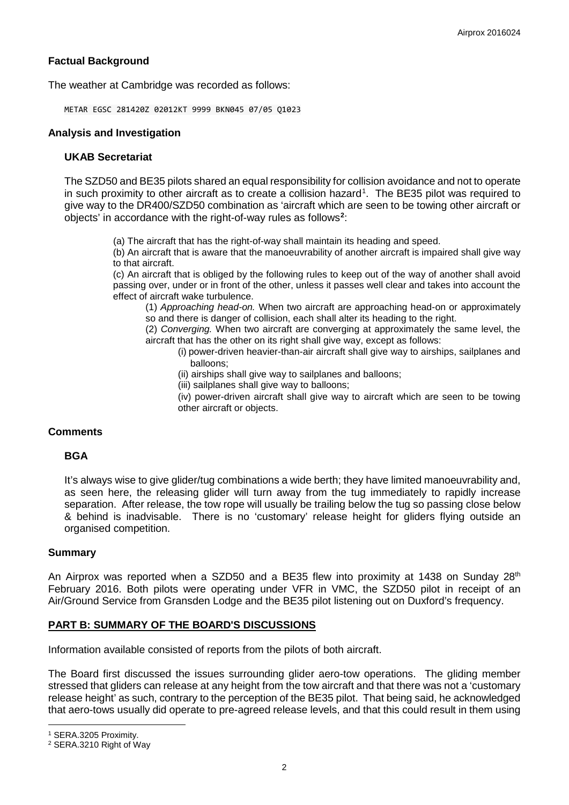## **Factual Background**

The weather at Cambridge was recorded as follows:

METAR EGSC 281420Z 02012KT 9999 BKN045 07/05 Q1023

#### **Analysis and Investigation**

#### **UKAB Secretariat**

The SZD50 and BE35 pilots shared an equal responsibility for collision avoidance and not to operate in such proximity to other aircraft as to create a collision hazard<sup>[1](#page-1-0)</sup>. The BE35 pilot was required to give way to the DR400/SZD50 combination as 'aircraft which are seen to be towing other aircraft or objects' in accordance with the right-of-way rules as follows**[2](#page-1-1)** :

(a) The aircraft that has the right-of-way shall maintain its heading and speed.

(b) An aircraft that is aware that the manoeuvrability of another aircraft is impaired shall give way to that aircraft.

(c) An aircraft that is obliged by the following rules to keep out of the way of another shall avoid passing over, under or in front of the other, unless it passes well clear and takes into account the effect of aircraft wake turbulence.

(1) *Approaching head-on.* When two aircraft are approaching head-on or approximately so and there is danger of collision, each shall alter its heading to the right.

(2) *Converging.* When two aircraft are converging at approximately the same level, the aircraft that has the other on its right shall give way, except as follows:

(i) power-driven heavier-than-air aircraft shall give way to airships, sailplanes and balloons;

(ii) airships shall give way to sailplanes and balloons;

(iii) sailplanes shall give way to balloons;

(iv) power-driven aircraft shall give way to aircraft which are seen to be towing other aircraft or objects.

### **Comments**

### **BGA**

It's always wise to give glider/tug combinations a wide berth; they have limited manoeuvrability and, as seen here, the releasing glider will turn away from the tug immediately to rapidly increase separation. After release, the tow rope will usually be trailing below the tug so passing close below & behind is inadvisable. There is no 'customary' release height for gliders flying outside an organised competition.

#### **Summary**

An Airprox was reported when a SZD50 and a BE35 flew into proximity at 1438 on Sunday  $28<sup>th</sup>$ February 2016. Both pilots were operating under VFR in VMC, the SZD50 pilot in receipt of an Air/Ground Service from Gransden Lodge and the BE35 pilot listening out on Duxford's frequency.

### **PART B: SUMMARY OF THE BOARD'S DISCUSSIONS**

Information available consisted of reports from the pilots of both aircraft.

The Board first discussed the issues surrounding glider aero-tow operations. The gliding member stressed that gliders can release at any height from the tow aircraft and that there was not a 'customary release height' as such, contrary to the perception of the BE35 pilot. That being said, he acknowledged that aero-tows usually did operate to pre-agreed release levels, and that this could result in them using

l

<span id="page-1-0"></span><sup>1</sup> SERA.3205 Proximity.

<span id="page-1-1"></span><sup>2</sup> SERA.3210 Right of Way